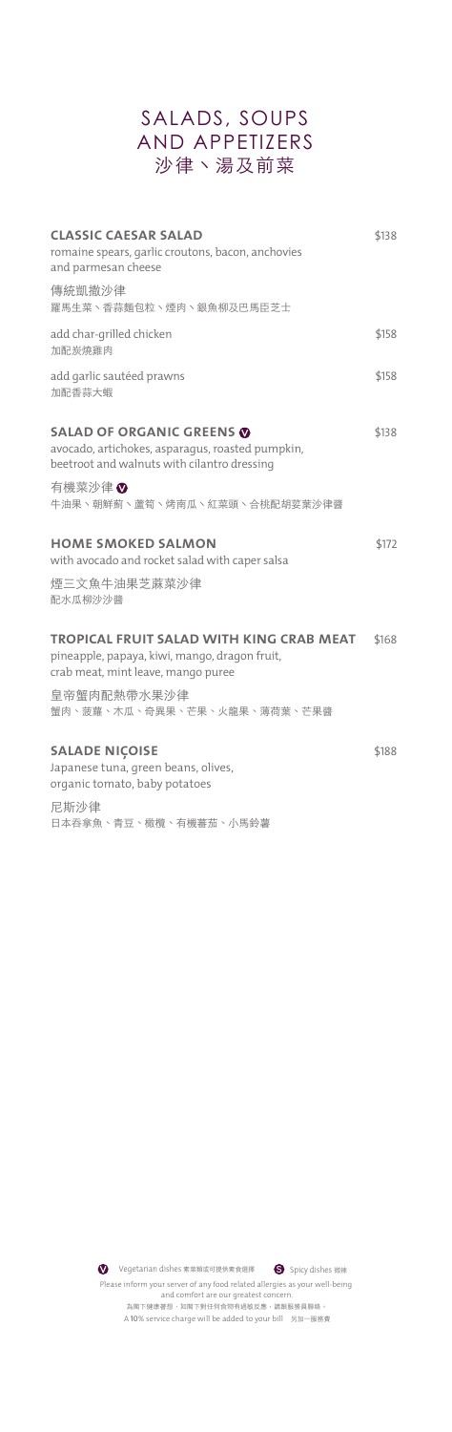#### SALADS, SOUPS AND APPETIZERS 沙律丶湯及前菜

| <b>CLASSIC CAESAR SALAD</b><br>romaine spears, qarlic croutons, bacon, anchovies<br>and parmesan cheese                             | \$138 |
|-------------------------------------------------------------------------------------------------------------------------------------|-------|
| 傳統凱撒沙律<br>羅馬生菜、香蒜麵包粒、煙肉、銀魚柳及巴馬臣芝士                                                                                                   |       |
| add char-grilled chicken<br>加配炭燒雞肉                                                                                                  | \$158 |
| add garlic sautéed prawns<br>加配香蒜大蝦                                                                                                 | \$158 |
| <b>SALAD OF ORGANIC GREENS ®</b><br>avocado, artichokes, asparaqus, roasted pumpkin,<br>beetroot and walnuts with cilantro dressing | \$138 |
| 有機菜沙律♥<br>牛油果、朝鮮薊、蘆筍、烤南瓜、紅菜頭、合桃配胡荽葉沙律醬                                                                                              |       |
| <b>HOME SMOKED SALMON</b><br>with avocado and rocket salad with caper salsa                                                         | \$172 |
| 煙三文魚牛油果芝蔴菜沙律<br>配水瓜柳沙沙醬                                                                                                             |       |
| TROPICAL FRUIT SALAD WITH KING CRAB MEAT<br>pineapple, papaya, kiwi, mango, dragon fruit,<br>crab meat, mint leave, mango puree     | \$168 |
| 皇帝蟹肉配熱帶水果沙律<br>蟹肉、菠蘿、木瓜、奇異果、芒果、火龍果、薄荷葉、芒果醬                                                                                          |       |
| <b>SALADE NIÇOISE</b><br>Japanese tuna, green beans, olives,<br>organic tomato, baby potatoes                                       | \$188 |
| 尼斯沙律<br>日本吞拿魚、青豆、橄欖、有機蕃茄、小馬鈴薯                                                                                                       |       |

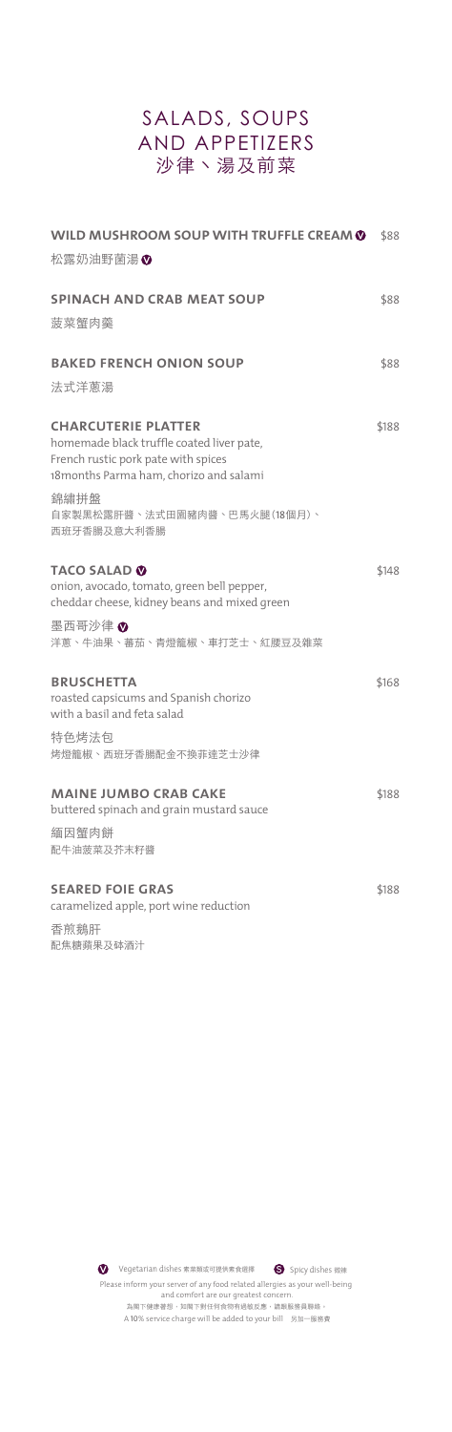## SALADS, SOUPS AND APPETIZERS 沙律丶湯及前菜

| WILD MUSHROOM SOUP WITH TRUFFLE CREAM O                                                                                                                   | \$88  |
|-----------------------------------------------------------------------------------------------------------------------------------------------------------|-------|
| 松露奶油野菌湯®                                                                                                                                                  |       |
| <b>SPINACH AND CRAB MEAT SOUP</b>                                                                                                                         | \$88  |
| 菠菜蟹肉羹                                                                                                                                                     |       |
| <b>BAKED FRENCH ONION SOUP</b>                                                                                                                            | \$88  |
| 法式洋蔥湯                                                                                                                                                     |       |
| <b>CHARCUTERIE PLATTER</b><br>homemade black truffle coated liver pate,<br>French rustic pork pate with spices<br>18 months Parma ham, chorizo and salami | \$188 |
| 錦繡拼盤<br>自家製黑松露肝醬、法式田園豬肉醬、巴馬火腿(18個月)、<br>西班牙香腸及意大利香腸                                                                                                       |       |
| <b>TACO SALAD ®</b><br>onion, avocado, tomato, green bell pepper,<br>cheddar cheese, kidney beans and mixed green                                         | \$148 |
| 墨西哥沙律 ♥<br>洋蔥、牛油果、蕃茄、青燈籠椒、車打芝士、紅腰豆及雜菜                                                                                                                     |       |
| <b>BRUSCHETTA</b><br>roasted capsicums and Spanish chorizo<br>with a basil and feta salad                                                                 | \$168 |
| 特色烤法包<br>烤燈籠椒、西班牙香腸配金不換菲達芝士沙律                                                                                                                             |       |
| <b>MAINE JUMBO CRAB CAKE</b><br>buttered spinach and grain mustard sauce<br>緬因蟹肉餅                                                                         | \$188 |
| 配牛油菠菜及芥末籽醬                                                                                                                                                |       |
| <b>SEARED FOIE GRAS</b><br>caramelized apple, port wine reduction                                                                                         | \$188 |
| 香煎鵝肝                                                                                                                                                      |       |

配焦糖蘋果及砵酒汁

 $\bullet$ Vegetarian dishes 素菜類或可提供素食選擇 **S** Spicy dishes 微辣Please inform your server of any food related allergies as your well-being and comfort are our greatest concern. 為閣下健康著想,如閣下對任何食物有過敏反應,請跟服務員聯絡。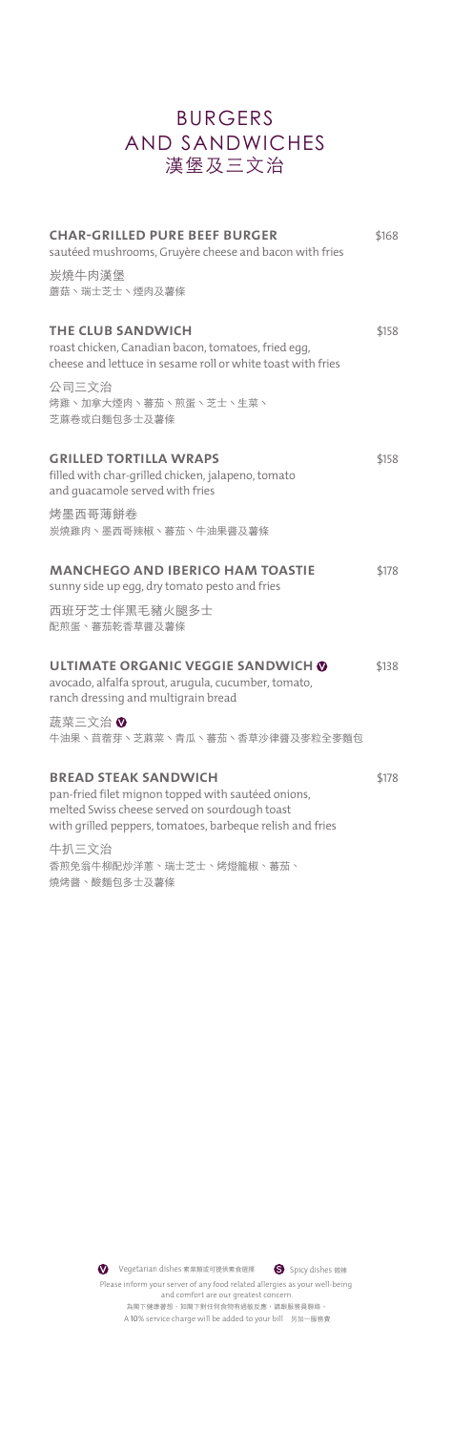#### BURGERS AND SANDWICHES **漢堡及三文治**

| <b>CHAR-GRILLED PURE BEEF BURGER</b><br>sautéed mushrooms, Gruyère cheese and bacon with fries                                                                                                  | \$168 |
|-------------------------------------------------------------------------------------------------------------------------------------------------------------------------------------------------|-------|
| 炭燒牛肉漢堡<br>蘑菇、瑞士芝士、煙肉及薯條                                                                                                                                                                         |       |
| THE CLUB SANDWICH<br>roast chicken, Canadian bacon, tomatoes, fried egg,<br>cheese and lettuce in sesame roll or white toast with fries                                                         | \$158 |
| 公司三文治<br>烤雞、加拿大煙肉、蕃茄、煎蛋、芝士、生菜、<br>芝蔴卷或白麵包多士及薯條                                                                                                                                                  |       |
| <b>GRILLED TORTILLA WRAPS</b><br>filled with char-grilled chicken, jalapeno, tomato<br>and quacamole served with fries                                                                          | \$158 |
| 烤墨西哥薄餅卷<br>炭燒雞肉、墨西哥辣椒、蕃茄、牛油果醬及薯條                                                                                                                                                                |       |
| <b>MANCHEGO AND IBERICO HAM TOASTIE</b><br>sunny side up egg, dry tomato pesto and fries                                                                                                        | \$178 |
| 西班牙芝士伴黑毛豬火腿多士<br>配煎蛋、蕃茄乾香草醬及薯條                                                                                                                                                                  |       |
| ULTIMATE ORGANIC VEGGIE SANDWICH ©<br>avocado, alfalfa sprout, arugula, cucumber, tomato,<br>ranch dressing and multigrain bread                                                                | \$138 |
| 蔬菜三文治 ♥<br>牛油果、苜蓿芽、芝蔴菜、青瓜、蕃茄、香草沙律醬及麥粒全麥麵包                                                                                                                                                       |       |
| <b>BREAD STEAK SANDWICH</b><br>pan-fried filet mignon topped with sautéed onions,<br>melted Swiss cheese served on sourdough toast<br>with grilled peppers, tomatoes, barbeque relish and fries | \$178 |
| 牛扒三文治<br>香煎免翁牛柳配炒洋蔥、瑞士芝士、烤燈籠椒、蕃茄、<br>燒烤醬、酸麵包多士及薯條                                                                                                                                               |       |



Please inform your server of any food related allergies as your well-being and comfort are our greatest concern.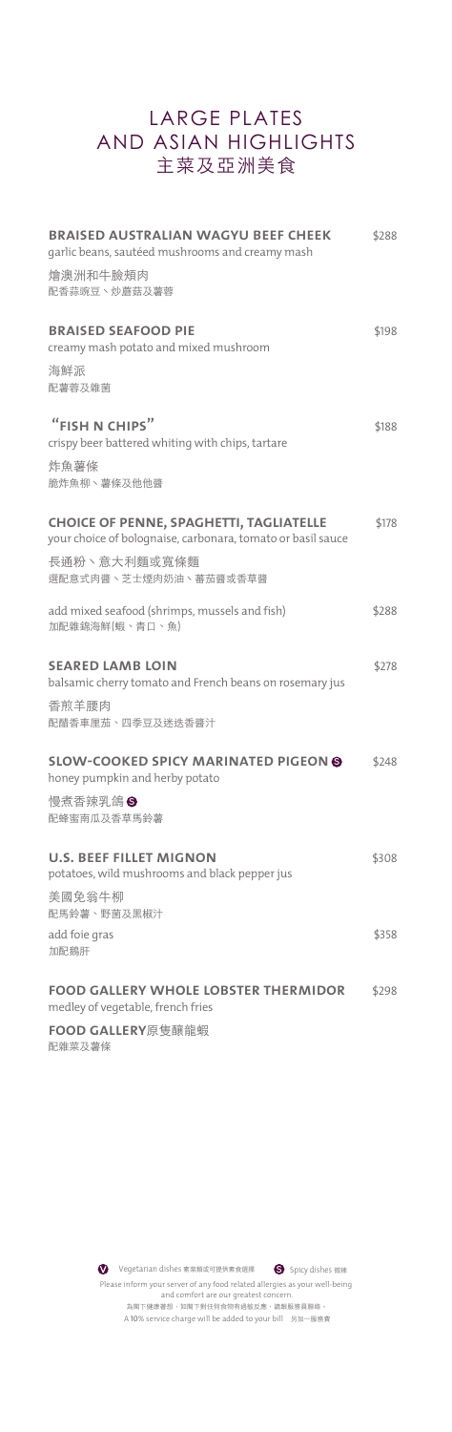## LARGE PLATES AND ASIAN HIGHLIGHTS **主菜及亞洲美食**

| <b>BRAISED AUSTRALIAN WAGYU BEEF CHEEK</b><br>garlic beans, sautéed mushrooms and creamy mash                 |       |
|---------------------------------------------------------------------------------------------------------------|-------|
| 燴澳洲和牛臉頰肉<br>配香蒜豌豆丶炒蘑菇及薯蓉                                                                                      |       |
| <b>BRAISED SEAFOOD PIE</b><br>creamy mash potato and mixed mushroom                                           | \$198 |
| 海鮮派<br>配薯蓉及雜菌                                                                                                 |       |
| "FISH N CHIPS"<br>crispy beer battered whiting with chips, tartare                                            | \$188 |
| 炸魚薯條<br>脆炸魚柳丶薯條及他他醬                                                                                           |       |
| <b>CHOICE OF PENNE, SPAGHETTI, TAGLIATELLE</b><br>your choice of bolognaise, carbonara, tomato or basil sauce | \$178 |
| 長通粉、意大利麵或寬條麵<br>選配意式肉醬、芝士煙肉奶油、蕃茄醬或香草醬                                                                         |       |
| add mixed seafood (shrimps, mussels and fish)<br>加配雜錦海鮮(蝦、青口、魚)                                               | \$288 |
| <b>SEARED LAMB LOIN</b><br>balsamic cherry tomato and French beans on rosemary jus                            | \$278 |
| 香煎羊腰肉<br>配醋香車厘茄、四季豆及迷迭香醬汁                                                                                     |       |
| <b>SLOW-COOKED SPICY MARINATED PIGEON O</b><br>honey pumpkin and herby potato                                 | \$248 |
| 慢煮香辣乳鴿6<br>配蜂蜜南瓜及香草馬鈴薯                                                                                        |       |
| <b>U.S. BEEF FILLET MIGNON</b><br>potatoes, wild mushrooms and black pepper jus                               | \$308 |
| 美國免翁牛柳<br>配馬鈴薯、野菌及黑椒汁                                                                                         |       |
| add foie gras<br>加配鵝肝                                                                                         | \$358 |
| <b>FOOD GALLERY WHOLE LOBSTER THERMIDOR</b><br>medley of vegetable, french fries                              | \$298 |
| <b>FOOD GALLERY</b> 原隻釀龍蝦                                                                                     |       |

配雜菜及薯條

 $\bullet$ Vegetarian dishes 素菜類或可提供素食選擇 **S** Spicy dishes 微辣Please inform your server of any food related allergies as your well-being and comfort are our greatest concern. 為閣下健康著想,如閣下對任何食物有過敏反應,請跟服務員聯絡。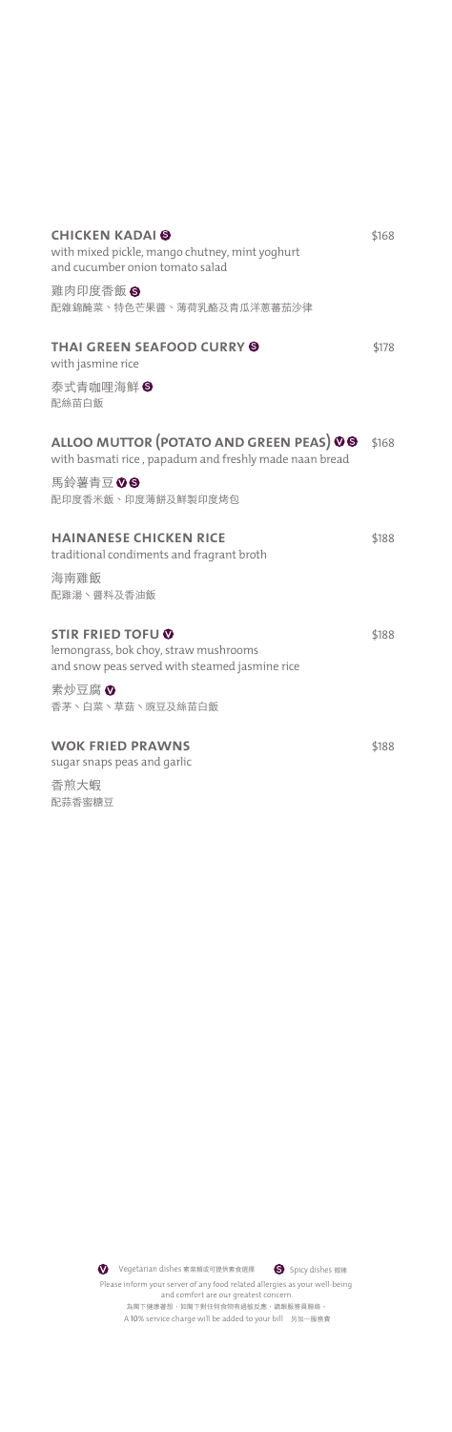| <b>CHICKEN KADAI O</b><br>with mixed pickle, mango chutney, mint yoghurt<br>and cucumber onion tomato salad         | \$168 |
|---------------------------------------------------------------------------------------------------------------------|-------|
| 雞肉印度香飯6<br>配雜錦醃菜、特色芒果醬、薄荷乳酪及青瓜洋蔥蕃茄沙律                                                                                |       |
| <b>THAI GREEN SEAFOOD CURRY O</b><br>with jasmine rice                                                              | \$178 |
| 泰式青咖哩海鮮8<br>配絲苗白飯                                                                                                   |       |
| ALLOO MUTTOR (POTATO AND GREEN PEAS) 00<br>with basmati rice, papadum and freshly made naan bread                   | \$168 |
| 馬鈴薯青豆 00<br>配印度香米飯、印度薄餅及鮮製印度烤包                                                                                      |       |
| <b>HAINANESE CHICKEN RICE</b><br>traditional condiments and fragrant broth                                          | \$188 |
| 海南雞飯<br>配雞湯、醬料及香油飯                                                                                                  |       |
| <b>STIR FRIED TOFU Ø</b><br>lemongrass, bok choy, straw mushrooms<br>and snow peas served with steamed jasmine rice | \$188 |
| 素炒豆腐♥<br>香茅丶白菜丶草菇丶豌豆及絲苗白飯                                                                                           |       |
| <b>WOK FRIED PRAWNS</b><br>sugar snaps peas and garlic                                                              | \$188 |
| 香煎大蝦<br>配蒜香蜜糖豆                                                                                                      |       |

Please inform your server of any food related allergies as your well-being and comfort are our greatest concern.

A 10% service charge will be added to your bill 另加一服務費 為閣下健康著想,如閣下對任何食物有過敏反應,請跟服務員聯絡。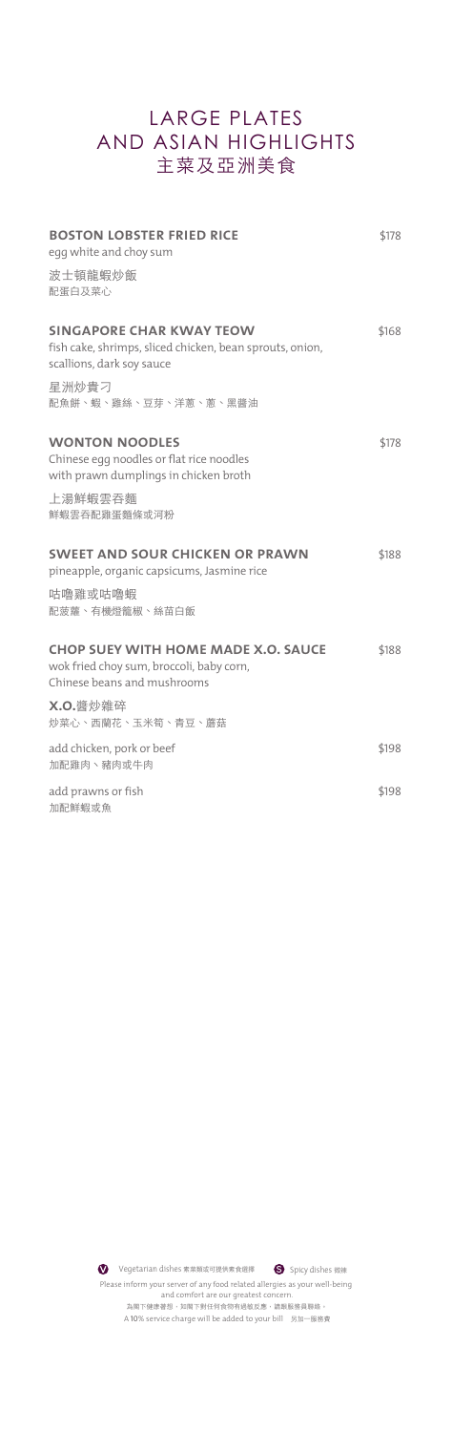## LARGE PLATES AND ASIAN HIGHLIGHTS **主菜及亞洲美食**

| <b>BOSTON LOBSTER FRIED RICE</b><br>egg white and choy sum                                                               | \$178 |
|--------------------------------------------------------------------------------------------------------------------------|-------|
| 波士頓龍蝦炒飯<br>配蛋白及菜心                                                                                                        |       |
| <b>SINGAPORE CHAR KWAY TEOW</b><br>fish cake, shrimps, sliced chicken, bean sprouts, onion,<br>scallions, dark soy sauce | \$168 |
| 星洲炒貴刁<br>配魚餅、蝦、雞絲、豆芽、洋蔥、蔥、黑醬油                                                                                            |       |
| <b>WONTON NOODLES</b><br>Chinese egg noodles or flat rice noodles<br>with prawn dumplings in chicken broth               | \$178 |
| 上湯鮮蝦雲吞麵<br>鮮蝦雲吞配雞蛋麵條或河粉                                                                                                  |       |
| <b>SWEET AND SOUR CHICKEN OR PRAWN</b><br>pineapple, organic capsicums, Jasmine rice                                     | \$188 |
| 咕嚕雞或咕嚕蝦<br>配菠蘿、有機燈籠椒、絲苗白飯                                                                                                |       |
| <b>CHOP SUEY WITH HOME MADE X.O. SAUCE</b><br>wok fried choy sum, broccoli, baby corn,<br>Chinese beans and mushrooms    | \$188 |
| X.O.醬炒雜碎<br>炒菜心、西蘭花、玉米筍、青豆、蘑菇                                                                                            |       |
| add chicken, pork or beef<br>加配雞肉、豬肉或牛肉                                                                                  | \$198 |
| add prawns or fish<br>加配鮮蝦或魚                                                                                             | \$198 |

 $\bullet$ Vegetarian dishes 素菜類或可提供素食選擇 **S** Spicy dishes 微辣Please inform your server of any food related allergies as your well-being and comfort are our greatest concern. 為閣下健康著想,如閣下對任何食物有過敏反應,請跟服務員聯絡。